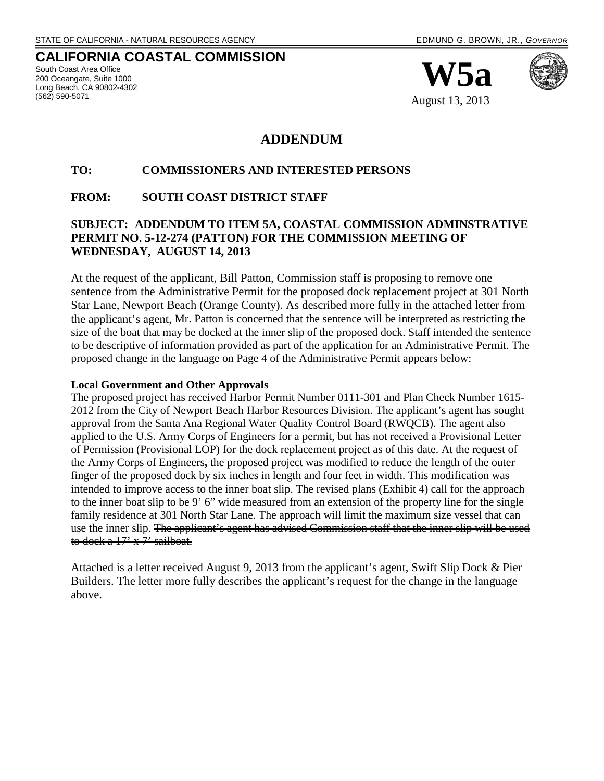### **CALIFORNIA COASTAL COMMISSION**

South Coast Area Office 200 Oceangate, Suite 1000 Long Beach, CA 90802-4302 (562) 590-5071





August 13, 2013

#### **ADDENDUM**

#### **TO: COMMISSIONERS AND INTERESTED PERSONS**

#### **FROM: SOUTH COAST DISTRICT STAFF**

#### **SUBJECT: ADDENDUM TO ITEM 5A, COASTAL COMMISSION ADMINSTRATIVE PERMIT NO. 5-12-274 (PATTON) FOR THE COMMISSION MEETING OF WEDNESDAY, AUGUST 14, 2013**

At the request of the applicant, Bill Patton, Commission staff is proposing to remove one sentence from the Administrative Permit for the proposed dock replacement project at 301 North Star Lane, Newport Beach (Orange County). As described more fully in the attached letter from the applicant's agent, Mr. Patton is concerned that the sentence will be interpreted as restricting the size of the boat that may be docked at the inner slip of the proposed dock. Staff intended the sentence to be descriptive of information provided as part of the application for an Administrative Permit. The proposed change in the language on Page 4 of the Administrative Permit appears below:

#### **Local Government and Other Approvals**

The proposed project has received Harbor Permit Number 0111-301 and Plan Check Number 1615- 2012 from the City of Newport Beach Harbor Resources Division. The applicant's agent has sought approval from the Santa Ana Regional Water Quality Control Board (RWQCB). The agent also applied to the U.S. Army Corps of Engineers for a permit, but has not received a Provisional Letter of Permission (Provisional LOP) for the dock replacement project as of this date. At the request of the Army Corps of Engineers**,** the proposed project was modified to reduce the length of the outer finger of the proposed dock by six inches in length and four feet in width. This modification was intended to improve access to the inner boat slip. The revised plans (Exhibit 4) call for the approach to the inner boat slip to be 9' 6" wide measured from an extension of the property line for the single family residence at 301 North Star Lane. The approach will limit the maximum size vessel that can use the inner slip. The applicant's agent has advised Commission staff that the inner slip will be used to dock a  $17' \times 7'$  sailboat.

Attached is a letter received August 9, 2013 from the applicant's agent, Swift Slip Dock & Pier Builders. The letter more fully describes the applicant's request for the change in the language above.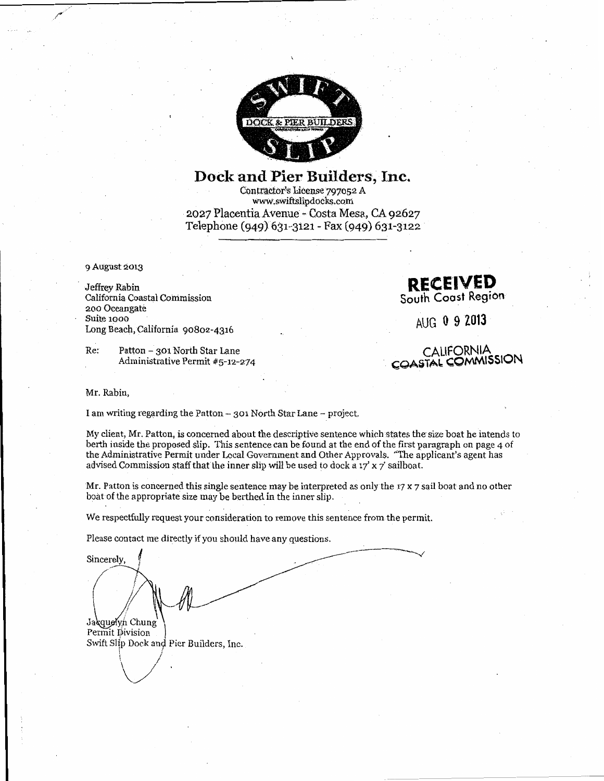

## Dock and Pier Builders, Inc.

Contractor's License 797052 A www.swiftslipdocks.com 2027 Placentia Avenue - Costa Mesa, CA 92627 Telephone (949) 631-3121 - Fax (949) 631-3122

9 August 2013

Jeffrey Rabin California Coastal Commission 200 Oceangate Suite 1000 Long Beach, California 90802-4316

Patton - 301 North Star Lane Re: Administrative Permit #5-12-274

Mr. Rabin.

I am writing regarding the Patton - 301 North Star Lane - project.

My client, Mr. Patton, is concerned about the descriptive sentence which states the size boat he intends to berth inside the proposed slip. This sentence can be found at the end of the first paragraph on page 4 of the Administrative Permit under Local Government and Other Approvals. "The applicant's agent has advised Commission staff that the inner slip will be used to dock a  $17'$  x 7' sailboat.

Mr. Patton is concerned this single sentence may be interpreted as only the 17  $x$  7 sail boat and no other boat of the appropriate size may be berthed in the inner slip.

We respectfully request your consideration to remove this sentence from the permit.

Please contact me directly if you should have any questions.

Sincerely, Jacquelyn Chung Permit Division Swift Slip Dock and Pier Builders, Inc.



AUG 0 9 2013

**CALIFORNIA** COASTAL COMMISSION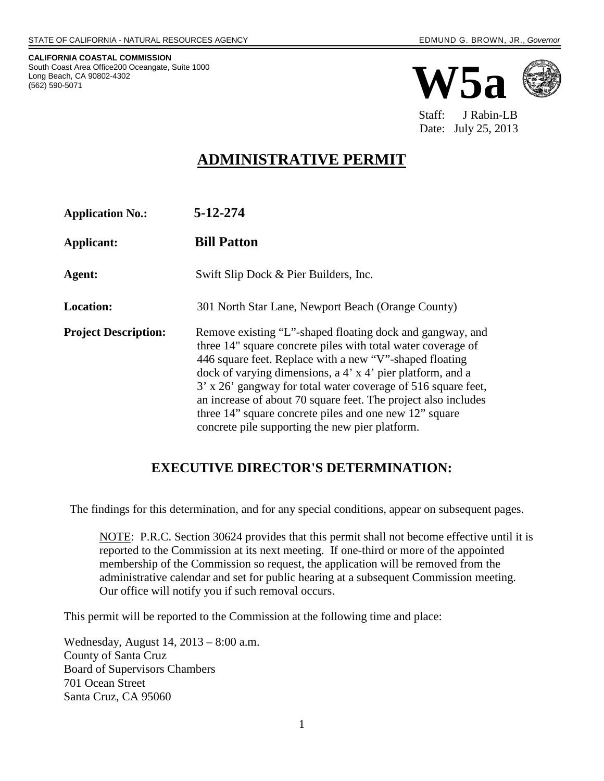**CALIFORNIA COASTAL COMMISSION** South Coast Area Office200 Oceangate, Suite 1000 Long Beach, CA 90802-4302 (562) 590-5071



 Staff: J Rabin-LB Date: July 25, 2013

## **ADMINISTRATIVE PERMIT**

| <b>Application No.:</b>     | 5-12-274                                                                                                                                                                                                                                                                                                                                                                                                                                                                                           |
|-----------------------------|----------------------------------------------------------------------------------------------------------------------------------------------------------------------------------------------------------------------------------------------------------------------------------------------------------------------------------------------------------------------------------------------------------------------------------------------------------------------------------------------------|
| Applicant:                  | <b>Bill Patton</b>                                                                                                                                                                                                                                                                                                                                                                                                                                                                                 |
| Agent:                      | Swift Slip Dock & Pier Builders, Inc.                                                                                                                                                                                                                                                                                                                                                                                                                                                              |
| <b>Location:</b>            | 301 North Star Lane, Newport Beach (Orange County)                                                                                                                                                                                                                                                                                                                                                                                                                                                 |
| <b>Project Description:</b> | Remove existing "L"-shaped floating dock and gangway, and<br>three 14" square concrete piles with total water coverage of<br>446 square feet. Replace with a new "V"-shaped floating<br>dock of varying dimensions, a 4' x 4' pier platform, and a<br>3' x 26' gangway for total water coverage of 516 square feet,<br>an increase of about 70 square feet. The project also includes<br>three 14" square concrete piles and one new 12" square<br>concrete pile supporting the new pier platform. |

### **EXECUTIVE DIRECTOR'S DETERMINATION:**

The findings for this determination, and for any special conditions, appear on subsequent pages.

NOTE: P.R.C. Section 30624 provides that this permit shall not become effective until it is reported to the Commission at its next meeting. If one-third or more of the appointed membership of the Commission so request, the application will be removed from the administrative calendar and set for public hearing at a subsequent Commission meeting. Our office will notify you if such removal occurs.

This permit will be reported to the Commission at the following time and place:

Wednesday, August 14, 2013 – 8:00 a.m. County of Santa Cruz Board of Supervisors Chambers 701 Ocean Street Santa Cruz, CA 95060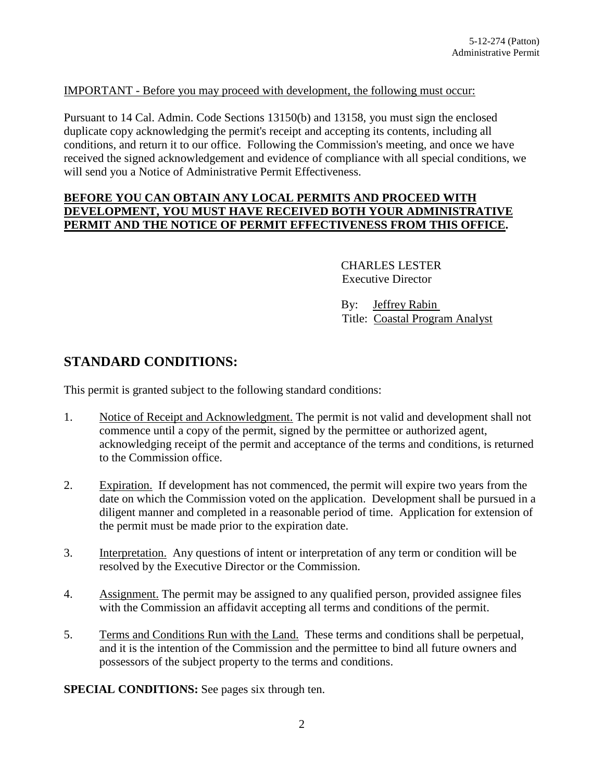#### IMPORTANT - Before you may proceed with development, the following must occur:

Pursuant to 14 Cal. Admin. Code Sections 13150(b) and 13158, you must sign the enclosed duplicate copy acknowledging the permit's receipt and accepting its contents, including all conditions, and return it to our office. Following the Commission's meeting, and once we have received the signed acknowledgement and evidence of compliance with all special conditions, we will send you a Notice of Administrative Permit Effectiveness.

#### **BEFORE YOU CAN OBTAIN ANY LOCAL PERMITS AND PROCEED WITH DEVELOPMENT, YOU MUST HAVE RECEIVED BOTH YOUR ADMINISTRATIVE PERMIT AND THE NOTICE OF PERMIT EFFECTIVENESS FROM THIS OFFICE.**

 CHARLES LESTER Executive Director

 By: Jeffrey Rabin Title: Coastal Program Analyst

#### **STANDARD CONDITIONS:**

This permit is granted subject to the following standard conditions:

- 1. Notice of Receipt and Acknowledgment. The permit is not valid and development shall not commence until a copy of the permit, signed by the permittee or authorized agent, acknowledging receipt of the permit and acceptance of the terms and conditions, is returned to the Commission office.
- 2. Expiration. If development has not commenced, the permit will expire two years from the date on which the Commission voted on the application. Development shall be pursued in a diligent manner and completed in a reasonable period of time. Application for extension of the permit must be made prior to the expiration date.
- 3. Interpretation. Any questions of intent or interpretation of any term or condition will be resolved by the Executive Director or the Commission.
- 4. Assignment. The permit may be assigned to any qualified person, provided assignee files with the Commission an affidavit accepting all terms and conditions of the permit.
- 5. Terms and Conditions Run with the Land. These terms and conditions shall be perpetual, and it is the intention of the Commission and the permittee to bind all future owners and possessors of the subject property to the terms and conditions.

**SPECIAL CONDITIONS:** See pages six through ten.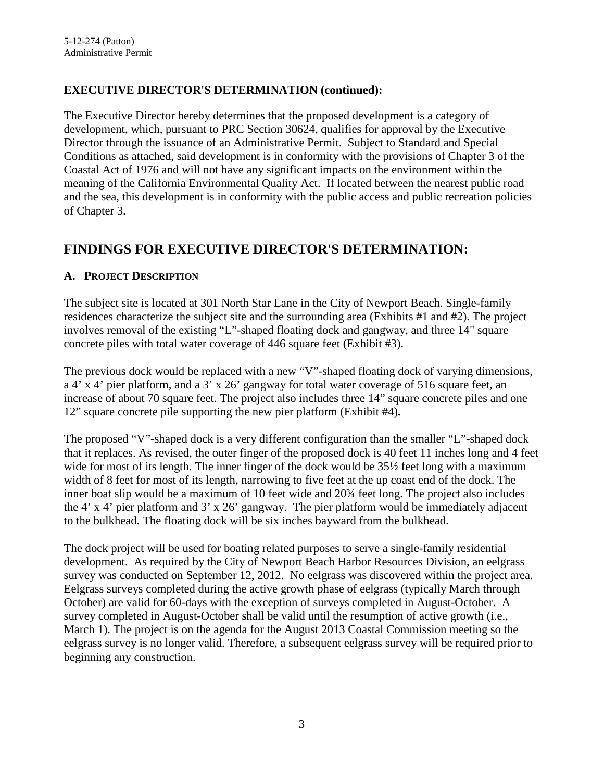#### **EXECUTIVE DIRECTOR'S DETERMINATION (continued):**

The Executive Director hereby determines that the proposed development is a category of development, which, pursuant to PRC Section 30624, qualifies for approval by the Executive Director through the issuance of an Administrative Permit. Subject to Standard and Special Conditions as attached, said development is in conformity with the provisions of Chapter 3 of the Coastal Act of 1976 and will not have any significant impacts on the environment within the meaning of the California Environmental Quality Act. If located between the nearest public road and the sea, this development is in conformity with the public access and public recreation policies of Chapter 3.

### **FINDINGS FOR EXECUTIVE DIRECTOR'S DETERMINATION:**

#### **A. PROJECT DESCRIPTION**

The subject site is located at 301 North Star Lane in the City of Newport Beach. Single-family residences characterize the subject site and the surrounding area (Exhibits #1 and #2). The project involves removal of the existing "L"-shaped floating dock and gangway, and three 14" square concrete piles with total water coverage of 446 square feet (Exhibit #3).

The previous dock would be replaced with a new "V"-shaped floating dock of varying dimensions, a 4' x 4' pier platform, and a 3' x 26' gangway for total water coverage of 516 square feet, an increase of about 70 square feet. The project also includes three 14" square concrete piles and one 12" square concrete pile supporting the new pier platform (Exhibit #4)**.** 

The proposed "V"-shaped dock is a very different configuration than the smaller "L"-shaped dock that it replaces. As revised, the outer finger of the proposed dock is 40 feet 11 inches long and 4 feet wide for most of its length. The inner finger of the dock would be 35½ feet long with a maximum width of 8 feet for most of its length, narrowing to five feet at the up coast end of the dock. The inner boat slip would be a maximum of 10 feet wide and 20¾ feet long. The project also includes the 4' x 4' pier platform and 3' x 26' gangway. The pier platform would be immediately adjacent to the bulkhead. The floating dock will be six inches bayward from the bulkhead.

The dock project will be used for boating related purposes to serve a single-family residential development. As required by the City of Newport Beach Harbor Resources Division, an eelgrass survey was conducted on September 12, 2012. No eelgrass was discovered within the project area. Eelgrass surveys completed during the active growth phase of eelgrass (typically March through October) are valid for 60-days with the exception of surveys completed in August-October. A survey completed in August-October shall be valid until the resumption of active growth (i.e., March 1). The project is on the agenda for the August 2013 Coastal Commission meeting so the eelgrass survey is no longer valid. Therefore, a subsequent eelgrass survey will be required prior to beginning any construction.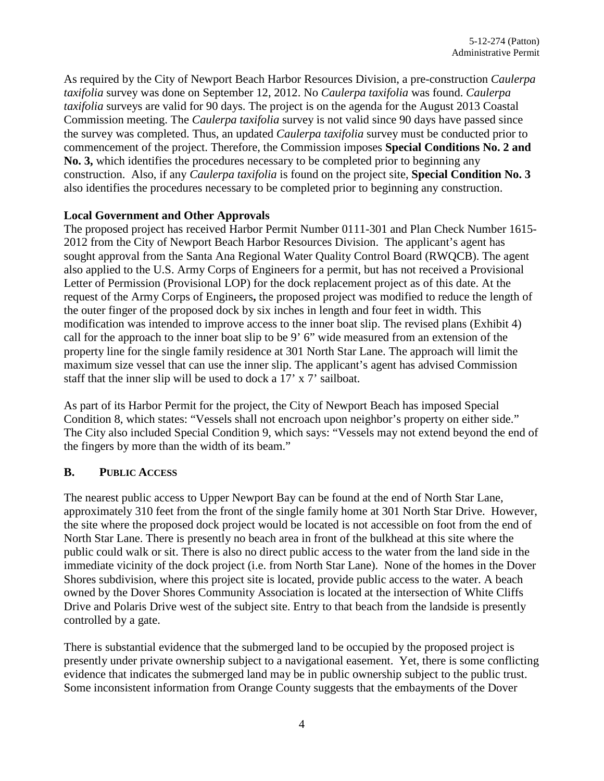As required by the City of Newport Beach Harbor Resources Division, a pre-construction *Caulerpa taxifolia* survey was done on September 12, 2012. No *Caulerpa taxifolia* was found. *Caulerpa taxifolia* surveys are valid for 90 days. The project is on the agenda for the August 2013 Coastal Commission meeting. The *Caulerpa taxifolia* survey is not valid since 90 days have passed since the survey was completed. Thus, an updated *Caulerpa taxifolia* survey must be conducted prior to commencement of the project. Therefore, the Commission imposes **Special Conditions No. 2 and No. 3,** which identifies the procedures necessary to be completed prior to beginning any construction. Also, if any *Caulerpa taxifolia* is found on the project site, **Special Condition No. 3**  also identifies the procedures necessary to be completed prior to beginning any construction.

#### **Local Government and Other Approvals**

The proposed project has received Harbor Permit Number 0111-301 and Plan Check Number 1615- 2012 from the City of Newport Beach Harbor Resources Division.The applicant's agent has sought approval from the Santa Ana Regional Water Quality Control Board (RWQCB). The agent also applied to the U.S. Army Corps of Engineers for a permit, but has not received a Provisional Letter of Permission (Provisional LOP) for the dock replacement project as of this date. At the request of the Army Corps of Engineers**,** the proposed project was modified to reduce the length of the outer finger of the proposed dock by six inches in length and four feet in width. This modification was intended to improve access to the inner boat slip. The revised plans (Exhibit 4) call for the approach to the inner boat slip to be 9' 6" wide measured from an extension of the property line for the single family residence at 301 North Star Lane. The approach will limit the maximum size vessel that can use the inner slip. The applicant's agent has advised Commission staff that the inner slip will be used to dock a 17' x 7' sailboat.

As part of its Harbor Permit for the project, the City of Newport Beach has imposed Special Condition 8, which states: "Vessels shall not encroach upon neighbor's property on either side." The City also included Special Condition 9, which says: "Vessels may not extend beyond the end of the fingers by more than the width of its beam."

#### **B. PUBLIC ACCESS**

The nearest public access to Upper Newport Bay can be found at the end of North Star Lane, approximately 310 feet from the front of the single family home at 301 North Star Drive. However, the site where the proposed dock project would be located is not accessible on foot from the end of North Star Lane. There is presently no beach area in front of the bulkhead at this site where the public could walk or sit. There is also no direct public access to the water from the land side in the immediate vicinity of the dock project (i.e. from North Star Lane). None of the homes in the Dover Shores subdivision, where this project site is located, provide public access to the water. A beach owned by the Dover Shores Community Association is located at the intersection of White Cliffs Drive and Polaris Drive west of the subject site. Entry to that beach from the landside is presently controlled by a gate.

There is substantial evidence that the submerged land to be occupied by the proposed project is presently under private ownership subject to a navigational easement. Yet, there is some conflicting evidence that indicates the submerged land may be in public ownership subject to the public trust. Some inconsistent information from Orange County suggests that the embayments of the Dover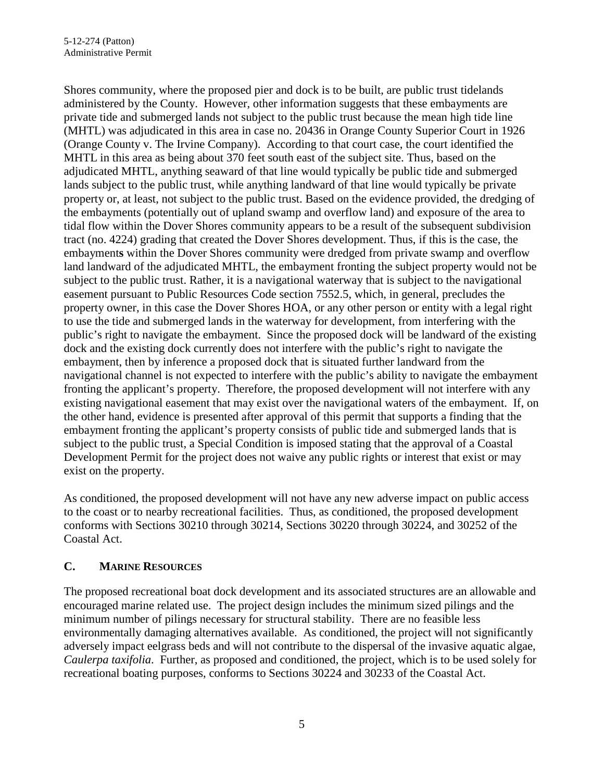Shores community, where the proposed pier and dock is to be built, are public trust tidelands administered by the County. However, other information suggests that these embayments are private tide and submerged lands not subject to the public trust because the mean high tide line (MHTL) was adjudicated in this area in case no. 20436 in Orange County Superior Court in 1926 (Orange County v. The Irvine Company). According to that court case, the court identified the MHTL in this area as being about 370 feet south east of the subject site. Thus, based on the adjudicated MHTL, anything seaward of that line would typically be public tide and submerged lands subject to the public trust, while anything landward of that line would typically be private property or, at least, not subject to the public trust. Based on the evidence provided, the dredging of the embayments (potentially out of upland swamp and overflow land) and exposure of the area to tidal flow within the Dover Shores community appears to be a result of the subsequent subdivision tract (no. 4224) grading that created the Dover Shores development. Thus, if this is the case, the embayment**s** within the Dover Shores community were dredged from private swamp and overflow land landward of the adjudicated MHTL, the embayment fronting the subject property would not be subject to the public trust. Rather, it is a navigational waterway that is subject to the navigational easement pursuant to Public Resources Code section 7552.5, which, in general, precludes the property owner, in this case the Dover Shores HOA, or any other person or entity with a legal right to use the tide and submerged lands in the waterway for development, from interfering with the public's right to navigate the embayment. Since the proposed dock will be landward of the existing dock and the existing dock currently does not interfere with the public's right to navigate the embayment, then by inference a proposed dock that is situated further landward from the navigational channel is not expected to interfere with the public's ability to navigate the embayment fronting the applicant's property. Therefore, the proposed development will not interfere with any existing navigational easement that may exist over the navigational waters of the embayment. If, on the other hand, evidence is presented after approval of this permit that supports a finding that the embayment fronting the applicant's property consists of public tide and submerged lands that is subject to the public trust, a Special Condition is imposed stating that the approval of a Coastal Development Permit for the project does not waive any public rights or interest that exist or may exist on the property.

As conditioned, the proposed development will not have any new adverse impact on public access to the coast or to nearby recreational facilities. Thus, as conditioned, the proposed development conforms with Sections 30210 through 30214, Sections 30220 through 30224, and 30252 of the Coastal Act.

#### **C. MARINE RESOURCES**

The proposed recreational boat dock development and its associated structures are an allowable and encouraged marine related use. The project design includes the minimum sized pilings and the minimum number of pilings necessary for structural stability. There are no feasible less environmentally damaging alternatives available. As conditioned, the project will not significantly adversely impact eelgrass beds and will not contribute to the dispersal of the invasive aquatic algae, *Caulerpa taxifolia*. Further, as proposed and conditioned, the project, which is to be used solely for recreational boating purposes, conforms to Sections 30224 and 30233 of the Coastal Act.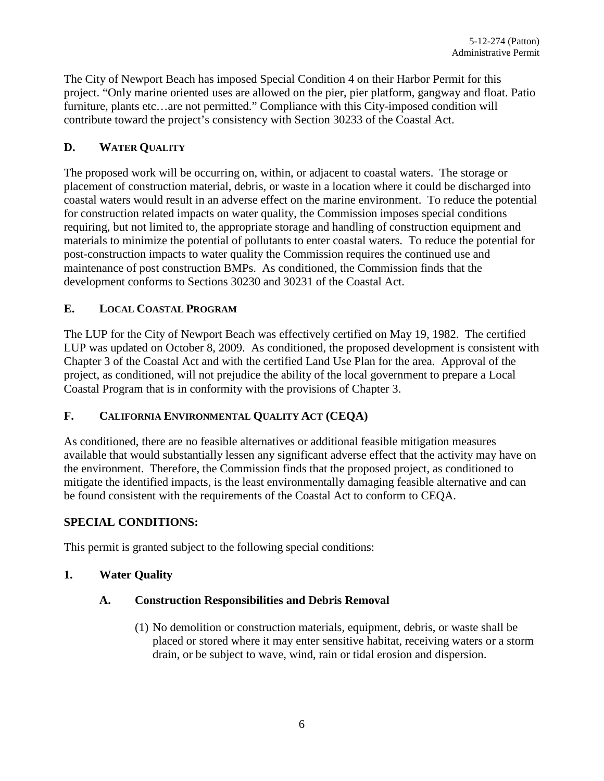The City of Newport Beach has imposed Special Condition 4 on their Harbor Permit for this project. "Only marine oriented uses are allowed on the pier, pier platform, gangway and float. Patio furniture, plants etc...are not permitted." Compliance with this City-imposed condition will contribute toward the project's consistency with Section 30233 of the Coastal Act.

#### **D. WATER QUALITY**

The proposed work will be occurring on, within, or adjacent to coastal waters. The storage or placement of construction material, debris, or waste in a location where it could be discharged into coastal waters would result in an adverse effect on the marine environment. To reduce the potential for construction related impacts on water quality, the Commission imposes special conditions requiring, but not limited to, the appropriate storage and handling of construction equipment and materials to minimize the potential of pollutants to enter coastal waters. To reduce the potential for post-construction impacts to water quality the Commission requires the continued use and maintenance of post construction BMPs. As conditioned, the Commission finds that the development conforms to Sections 30230 and 30231 of the Coastal Act.

#### **E. LOCAL COASTAL PROGRAM**

The LUP for the City of Newport Beach was effectively certified on May 19, 1982. The certified LUP was updated on October 8, 2009. As conditioned, the proposed development is consistent with Chapter 3 of the Coastal Act and with the certified Land Use Plan for the area. Approval of the project, as conditioned, will not prejudice the ability of the local government to prepare a Local Coastal Program that is in conformity with the provisions of Chapter 3.

#### **F. CALIFORNIA ENVIRONMENTAL QUALITY ACT (CEQA)**

As conditioned, there are no feasible alternatives or additional feasible mitigation measures available that would substantially lessen any significant adverse effect that the activity may have on the environment. Therefore, the Commission finds that the proposed project, as conditioned to mitigate the identified impacts, is the least environmentally damaging feasible alternative and can be found consistent with the requirements of the Coastal Act to conform to CEQA.

#### **SPECIAL CONDITIONS:**

This permit is granted subject to the following special conditions:

#### **1. Water Quality**

#### **A. Construction Responsibilities and Debris Removal**

(1) No demolition or construction materials, equipment, debris, or waste shall be placed or stored where it may enter sensitive habitat, receiving waters or a storm drain, or be subject to wave, wind, rain or tidal erosion and dispersion.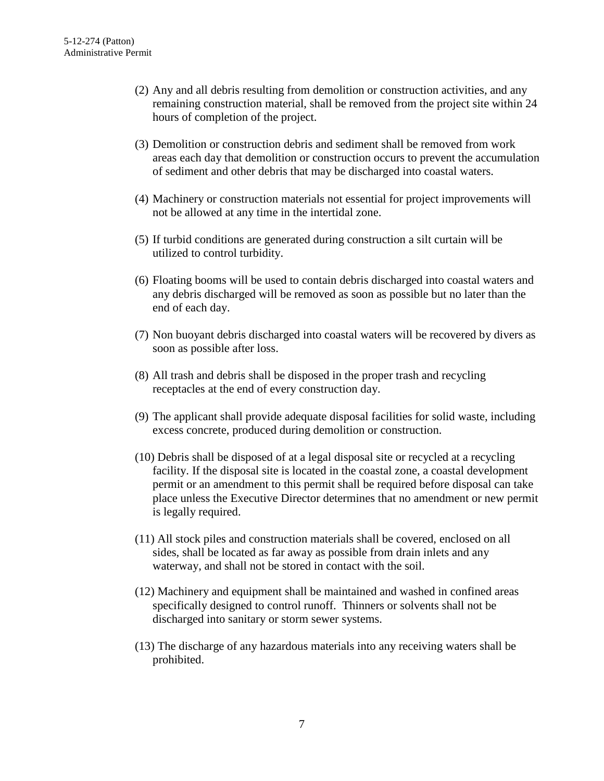- (2) Any and all debris resulting from demolition or construction activities, and any remaining construction material, shall be removed from the project site within 24 hours of completion of the project.
- (3) Demolition or construction debris and sediment shall be removed from work areas each day that demolition or construction occurs to prevent the accumulation of sediment and other debris that may be discharged into coastal waters.
- (4) Machinery or construction materials not essential for project improvements will not be allowed at any time in the intertidal zone.
- (5) If turbid conditions are generated during construction a silt curtain will be utilized to control turbidity.
- (6) Floating booms will be used to contain debris discharged into coastal waters and any debris discharged will be removed as soon as possible but no later than the end of each day.
- (7) Non buoyant debris discharged into coastal waters will be recovered by divers as soon as possible after loss.
- (8) All trash and debris shall be disposed in the proper trash and recycling receptacles at the end of every construction day.
- (9) The applicant shall provide adequate disposal facilities for solid waste, including excess concrete, produced during demolition or construction.
- (10) Debris shall be disposed of at a legal disposal site or recycled at a recycling facility. If the disposal site is located in the coastal zone, a coastal development permit or an amendment to this permit shall be required before disposal can take place unless the Executive Director determines that no amendment or new permit is legally required.
- (11) All stock piles and construction materials shall be covered, enclosed on all sides, shall be located as far away as possible from drain inlets and any waterway, and shall not be stored in contact with the soil.
- (12) Machinery and equipment shall be maintained and washed in confined areas specifically designed to control runoff. Thinners or solvents shall not be discharged into sanitary or storm sewer systems.
- (13) The discharge of any hazardous materials into any receiving waters shall be prohibited.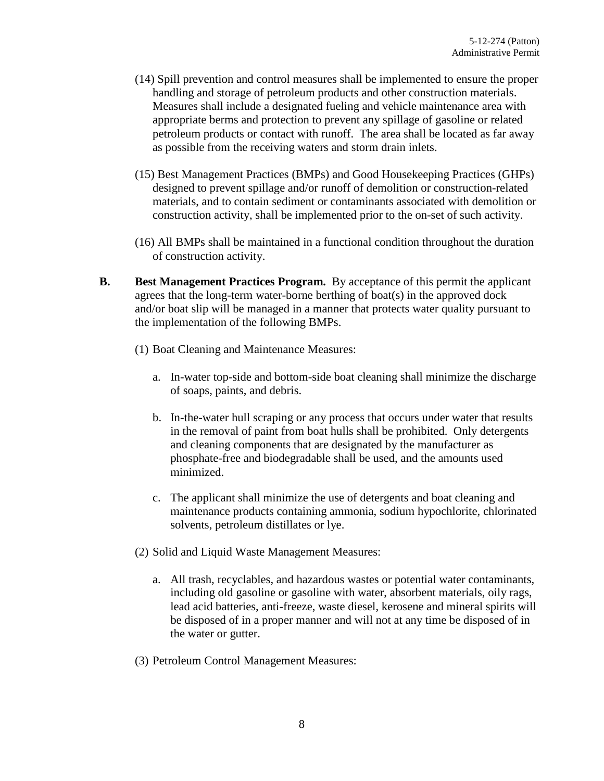- (14) Spill prevention and control measures shall be implemented to ensure the proper handling and storage of petroleum products and other construction materials. Measures shall include a designated fueling and vehicle maintenance area with appropriate berms and protection to prevent any spillage of gasoline or related petroleum products or contact with runoff. The area shall be located as far away as possible from the receiving waters and storm drain inlets.
- (15) Best Management Practices (BMPs) and Good Housekeeping Practices (GHPs) designed to prevent spillage and/or runoff of demolition or construction-related materials, and to contain sediment or contaminants associated with demolition or construction activity, shall be implemented prior to the on-set of such activity.
- (16) All BMPs shall be maintained in a functional condition throughout the duration of construction activity.
- **B. Best Management Practices Program.** By acceptance of this permit the applicant agrees that the long-term water-borne berthing of boat(s) in the approved dock and/or boat slip will be managed in a manner that protects water quality pursuant to the implementation of the following BMPs.
	- (1) Boat Cleaning and Maintenance Measures:
		- a. In-water top-side and bottom-side boat cleaning shall minimize the discharge of soaps, paints, and debris.
		- b. In-the-water hull scraping or any process that occurs under water that results in the removal of paint from boat hulls shall be prohibited. Only detergents and cleaning components that are designated by the manufacturer as phosphate-free and biodegradable shall be used, and the amounts used minimized.
		- c. The applicant shall minimize the use of detergents and boat cleaning and maintenance products containing ammonia, sodium hypochlorite, chlorinated solvents, petroleum distillates or lye.
	- (2) Solid and Liquid Waste Management Measures:
		- a. All trash, recyclables, and hazardous wastes or potential water contaminants, including old gasoline or gasoline with water, absorbent materials, oily rags, lead acid batteries, anti-freeze, waste diesel, kerosene and mineral spirits will be disposed of in a proper manner and will not at any time be disposed of in the water or gutter.
	- (3) Petroleum Control Management Measures: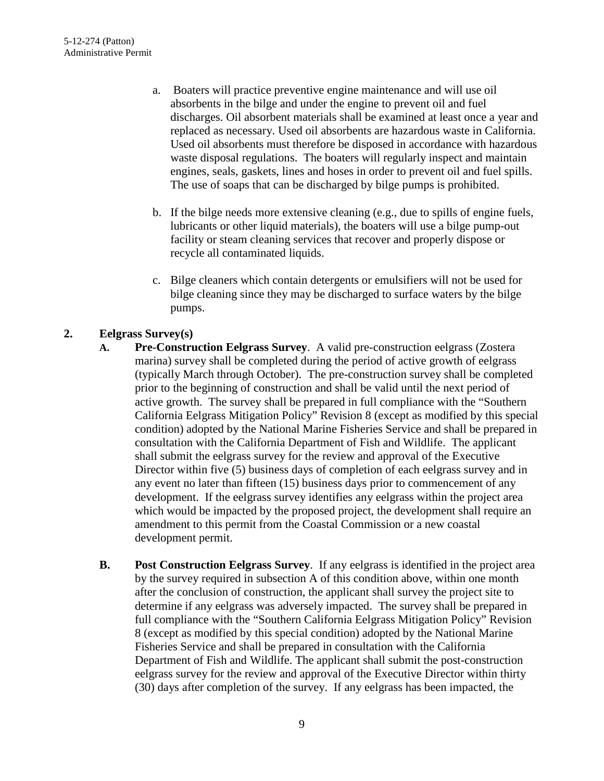- a. Boaters will practice preventive engine maintenance and will use oil absorbents in the bilge and under the engine to prevent oil and fuel discharges. Oil absorbent materials shall be examined at least once a year and replaced as necessary. Used oil absorbents are hazardous waste in California. Used oil absorbents must therefore be disposed in accordance with hazardous waste disposal regulations. The boaters will regularly inspect and maintain engines, seals, gaskets, lines and hoses in order to prevent oil and fuel spills. The use of soaps that can be discharged by bilge pumps is prohibited.
- b. If the bilge needs more extensive cleaning (e.g., due to spills of engine fuels, lubricants or other liquid materials), the boaters will use a bilge pump-out facility or steam cleaning services that recover and properly dispose or recycle all contaminated liquids.
- c. Bilge cleaners which contain detergents or emulsifiers will not be used for bilge cleaning since they may be discharged to surface waters by the bilge pumps.

#### **2. Eelgrass Survey(s)**

- **A. Pre-Construction Eelgrass Survey**. A valid pre-construction eelgrass (Zostera marina) survey shall be completed during the period of active growth of eelgrass (typically March through October). The pre-construction survey shall be completed prior to the beginning of construction and shall be valid until the next period of active growth. The survey shall be prepared in full compliance with the "Southern California Eelgrass Mitigation Policy" Revision 8 (except as modified by this special condition) adopted by the National Marine Fisheries Service and shall be prepared in consultation with the California Department of Fish and Wildlife. The applicant shall submit the eelgrass survey for the review and approval of the Executive Director within five (5) business days of completion of each eelgrass survey and in any event no later than fifteen (15) business days prior to commencement of any development. If the eelgrass survey identifies any eelgrass within the project area which would be impacted by the proposed project, the development shall require an amendment to this permit from the Coastal Commission or a new coastal development permit.
- **B. Post Construction Eelgrass Survey**. If any eelgrass is identified in the project area by the survey required in subsection A of this condition above, within one month after the conclusion of construction, the applicant shall survey the project site to determine if any eelgrass was adversely impacted. The survey shall be prepared in full compliance with the "Southern California Eelgrass Mitigation Policy" Revision 8 (except as modified by this special condition) adopted by the National Marine Fisheries Service and shall be prepared in consultation with the California Department of Fish and Wildlife. The applicant shall submit the post-construction eelgrass survey for the review and approval of the Executive Director within thirty (30) days after completion of the survey. If any eelgrass has been impacted, the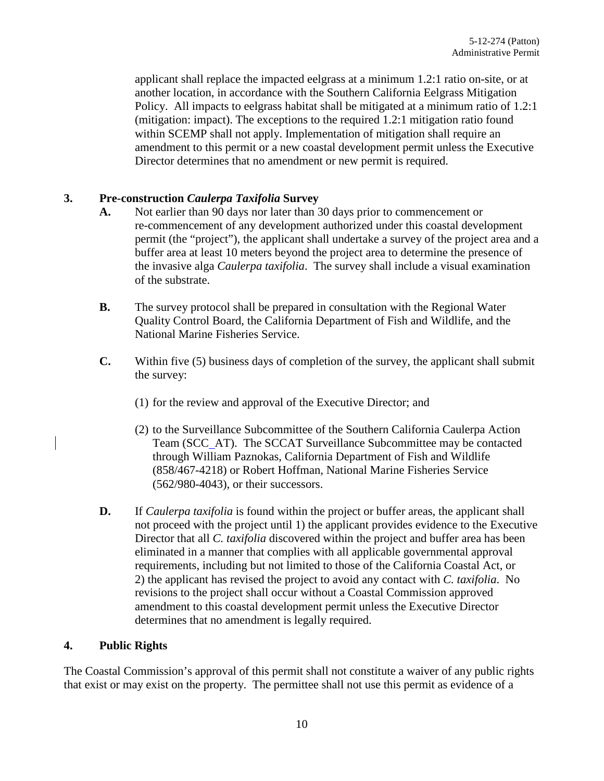applicant shall replace the impacted eelgrass at a minimum 1.2:1 ratio on-site, or at another location, in accordance with the Southern California Eelgrass Mitigation Policy. All impacts to eelgrass habitat shall be mitigated at a minimum ratio of 1.2:1 (mitigation: impact). The exceptions to the required 1.2:1 mitigation ratio found within SCEMP shall not apply. Implementation of mitigation shall require an amendment to this permit or a new coastal development permit unless the Executive Director determines that no amendment or new permit is required.

#### **3. Pre-construction** *Caulerpa Taxifolia* **Survey**

- **A.** Not earlier than 90 days nor later than 30 days prior to commencement or re-commencement of any development authorized under this coastal development permit (the "project"), the applicant shall undertake a survey of the project area and a buffer area at least 10 meters beyond the project area to determine the presence of the invasive alga *Caulerpa taxifolia*. The survey shall include a visual examination of the substrate.
- **B.** The survey protocol shall be prepared in consultation with the Regional Water Quality Control Board, the California Department of Fish and Wildlife, and the National Marine Fisheries Service.
- **C.** Within five (5) business days of completion of the survey, the applicant shall submit the survey:
	- (1) for the review and approval of the Executive Director; and
	- (2) to the Surveillance Subcommittee of the Southern California Caulerpa Action Team (SCC AT). The SCCAT Surveillance Subcommittee may be contacted through William Paznokas, California Department of Fish and Wildlife (858/467-4218) or Robert Hoffman, National Marine Fisheries Service (562/980-4043), or their successors.
- **D.** If *Caulerpa taxifolia* is found within the project or buffer areas, the applicant shall not proceed with the project until 1) the applicant provides evidence to the Executive Director that all *C. taxifolia* discovered within the project and buffer area has been eliminated in a manner that complies with all applicable governmental approval requirements, including but not limited to those of the California Coastal Act, or 2) the applicant has revised the project to avoid any contact with *C. taxifolia*. No revisions to the project shall occur without a Coastal Commission approved amendment to this coastal development permit unless the Executive Director determines that no amendment is legally required.

#### **4. Public Rights**

The Coastal Commission's approval of this permit shall not constitute a waiver of any public rights that exist or may exist on the property. The permittee shall not use this permit as evidence of a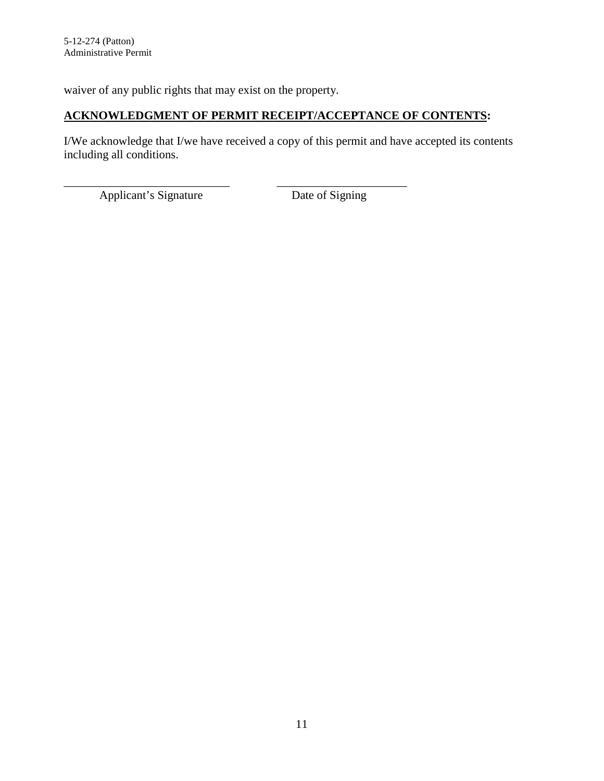waiver of any public rights that may exist on the property.

#### **ACKNOWLEDGMENT OF PERMIT RECEIPT/ACCEPTANCE OF CONTENTS:**

I/We acknowledge that I/we have received a copy of this permit and have accepted its contents including all conditions.

\_\_\_\_\_\_\_\_\_\_\_\_\_\_\_\_\_\_\_\_\_\_\_\_\_\_\_\_ \_\_\_\_\_\_\_\_\_\_\_\_\_\_\_\_\_\_\_\_\_\_ Applicant's Signature Date of Signing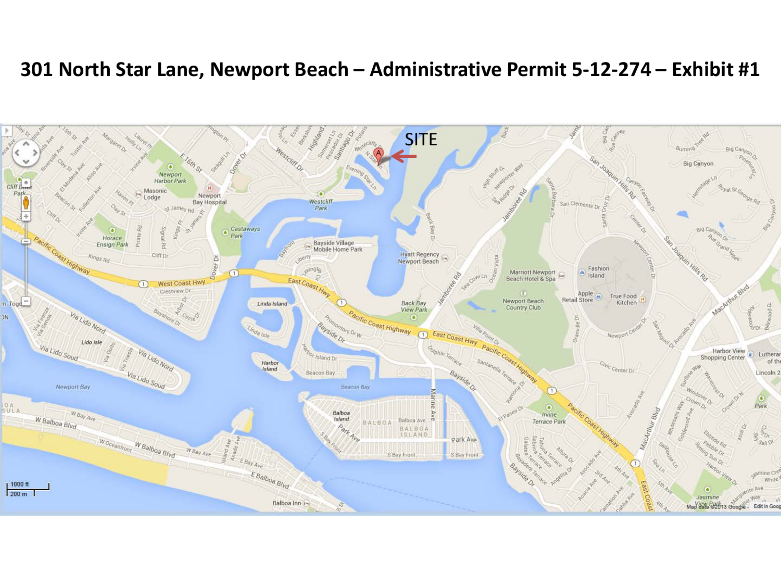## **301 North Star Lane, Newport Beach – Administrative Permit 5-12-274 – Exhibit #1**

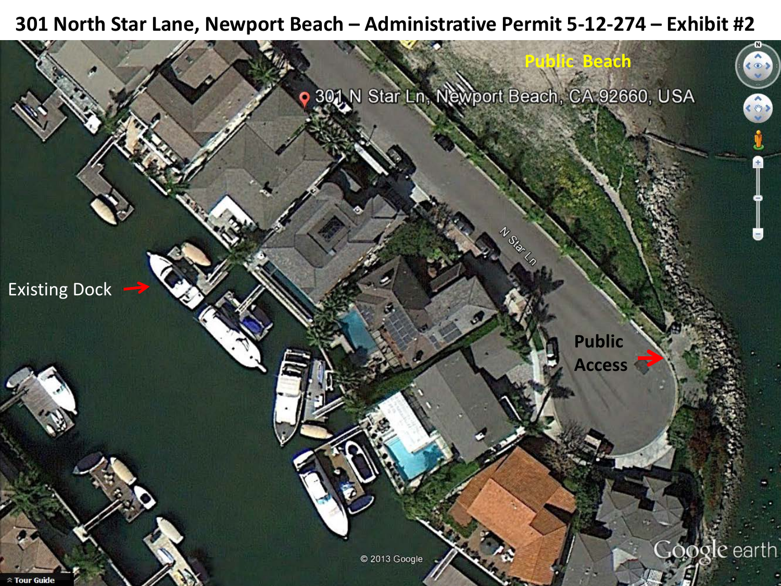## **301 North Star Lane, Newport Beach – Administrative Permit 5-12-274 – Exhibit #2**

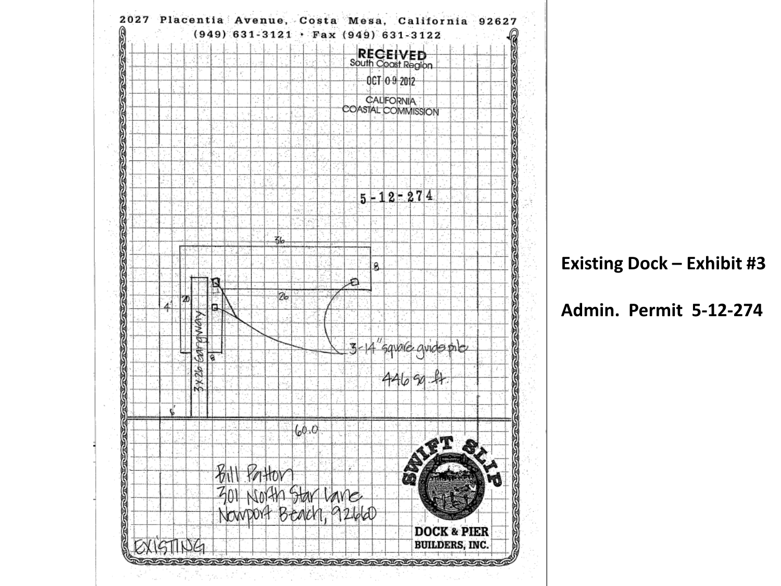

**Existing Dock – Exhibit #3**

**Admin. Permit 5-12-274**